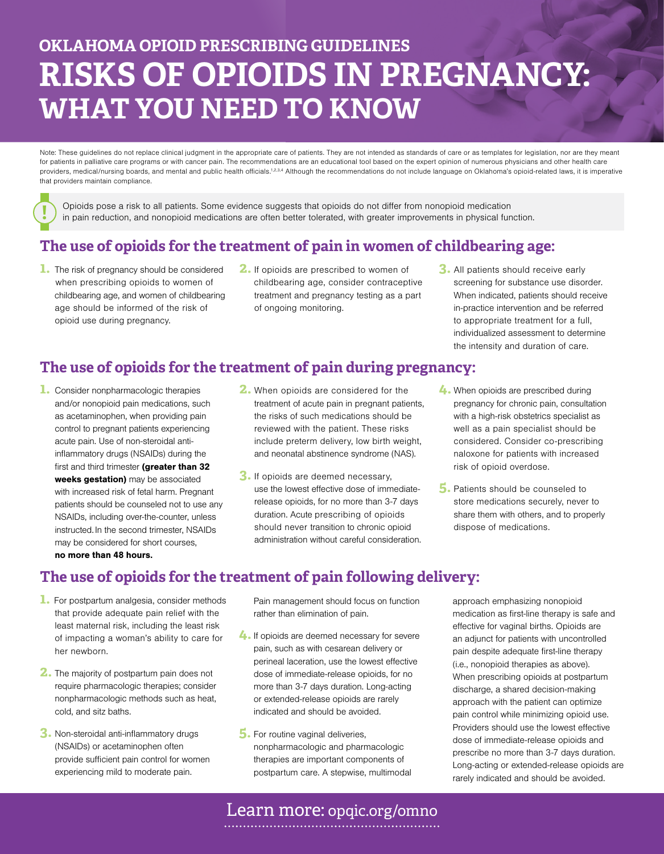# **OKLAHOMA OPIOID PRESCRIBING GUIDELINES RISKS OF OPIOIDS IN PREGNANCY: WHAT YOU NEED TO KNOW**

Note: These guidelines do not replace clinical judgment in the appropriate care of patients. They are not intended as standards of care or as templates for legislation, nor are they meant for patients in palliative care programs or with cancer pain. The recommendations are an educational tool based on the expert opinion of numerous physicians and other health care providers, medical/nursing boards, and mental and public health officials.<sup>1,2,3,4</sup> Although the recommendations do not include language on Oklahoma's opioid-related laws, it is imperative that providers maintain compliance.

Opioids pose a risk to all patients. Some evidence suggests that opioids do not differ from nonopioid medication<br>in pain reduction, and nonopioid medications are often better tolerated, with greater improvements in physica

#### **The use of opioids for the treatment of pain in women of childbearing age:**

- **1.** The risk of pregnancy should be considered when prescribing opioids to women of childbearing age, and women of childbearing age should be informed of the risk of opioid use during pregnancy.
- **2.** If opioids are prescribed to women of childbearing age, consider contraceptive treatment and pregnancy testing as a part of ongoing monitoring.
- **3.** All patients should receive early screening for substance use disorder. When indicated, patients should receive in-practice intervention and be referred to appropriate treatment for a full, individualized assessment to determine the intensity and duration of care.

#### **The use of opioids for the treatment of pain during pregnancy:**

- **1.** Consider nonpharmacologic therapies and/or nonopioid pain medications, such as acetaminophen, when providing pain control to pregnant patients experiencing acute pain. Use of non-steroidal antiinflammatory drugs (NSAIDs) during the first and third trimester (greater than 32 weeks gestation) may be associated with increased risk of fetal harm. Pregnant patients should be counseled not to use any NSAIDs, including over-the-counter, unless instructed. In the second trimester, NSAIDs may be considered for short courses, no more than 48 hours.
- **2.** When opioids are considered for the treatment of acute pain in pregnant patients, the risks of such medications should be reviewed with the patient. These risks include preterm delivery, low birth weight, and neonatal abstinence syndrome (NAS).
- **3.** If opioids are deemed necessary, use the lowest effective dose of immediaterelease opioids, for no more than 3-7 days duration. Acute prescribing of opioids should never transition to chronic opioid administration without careful consideration.
- **4.** When opioids are prescribed during pregnancy for chronic pain, consultation with a high-risk obstetrics specialist as well as a pain specialist should be considered. Consider co-prescribing naloxone for patients with increased risk of opioid overdose.
- **5.** Patients should be counseled to store medications securely, never to share them with others, and to properly dispose of medications.

#### **The use of opioids for the treatment of pain following delivery:**

- **1.** For postpartum analgesia, consider methods that provide adequate pain relief with the least maternal risk, including the least risk of impacting a woman's ability to care for her newborn.
- **2.** The majority of postpartum pain does not require pharmacologic therapies; consider nonpharmacologic methods such as heat, cold, and sitz baths.
- **3.** Non-steroidal anti-inflammatory drugs (NSAIDs) or acetaminophen often provide sufficient pain control for women experiencing mild to moderate pain.

Pain management should focus on function rather than elimination of pain.

- **4.** If opioids are deemed necessary for severe pain, such as with cesarean delivery or perineal laceration, use the lowest effective dose of immediate-release opioids, for no more than 3-7 days duration. Long-acting or extended-release opioids are rarely indicated and should be avoided.
- **5.** For routine vaginal deliveries, nonpharmacologic and pharmacologic therapies are important components of postpartum care. A stepwise, multimodal

approach emphasizing nonopioid medication as first-line therapy is safe and effective for vaginal births. Opioids are an adjunct for patients with uncontrolled pain despite adequate first-line therapy (i.e., nonopioid therapies as above). When prescribing opioids at postpartum discharge, a shared decision-making approach with the patient can optimize pain control while minimizing opioid use. Providers should use the lowest effective dose of immediate-release opioids and prescribe no more than 3-7 days duration. Long-acting or extended-release opioids are rarely indicated and should be avoided.

Learn more: opqic.org/omno